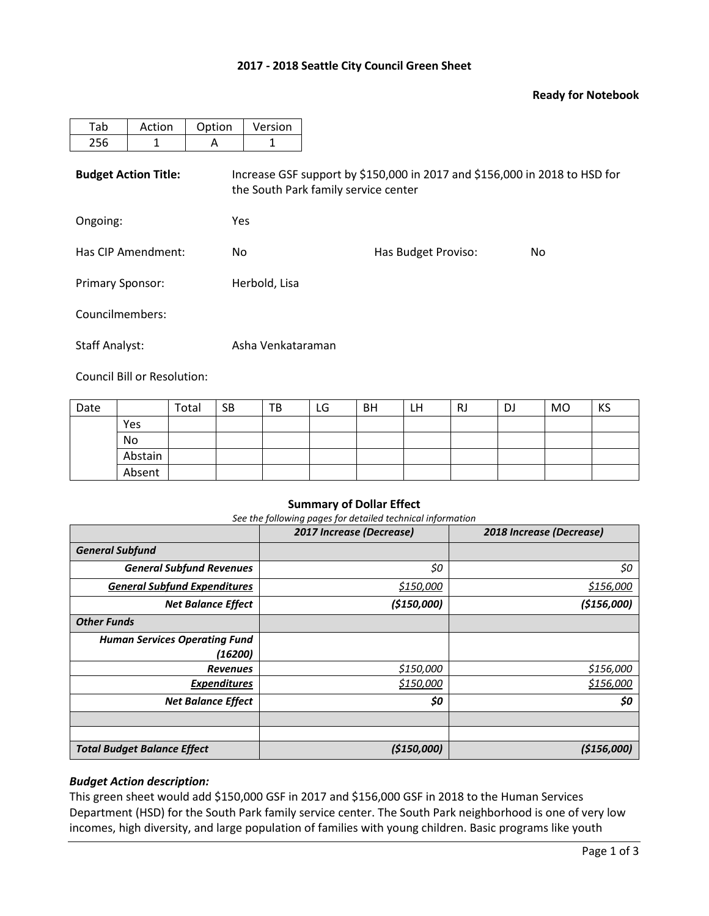## **2017 - 2018 Seattle City Council Green Sheet**

## **Ready for Notebook**

| Tab                         | Action | Option | Version                                                                                                            |                     |     |  |  |  |  |  |
|-----------------------------|--------|--------|--------------------------------------------------------------------------------------------------------------------|---------------------|-----|--|--|--|--|--|
| 256                         | 1      | A      | 1                                                                                                                  |                     |     |  |  |  |  |  |
| <b>Budget Action Title:</b> |        |        | Increase GSF support by \$150,000 in 2017 and \$156,000 in 2018 to HSD for<br>the South Park family service center |                     |     |  |  |  |  |  |
| Ongoing:                    |        |        | <b>Yes</b>                                                                                                         |                     |     |  |  |  |  |  |
| Has CIP Amendment:          |        | No     |                                                                                                                    | Has Budget Proviso: | No. |  |  |  |  |  |
| <b>Primary Sponsor:</b>     |        |        | Herbold, Lisa                                                                                                      |                     |     |  |  |  |  |  |
| Councilmembers:             |        |        |                                                                                                                    |                     |     |  |  |  |  |  |
| <b>Staff Analyst:</b>       |        |        | Asha Venkataraman                                                                                                  |                     |     |  |  |  |  |  |

Council Bill or Resolution:

| Date |         | Total | <b>SB</b> | TB | LG | BH | LH | RJ | DJ | MO | KS |
|------|---------|-------|-----------|----|----|----|----|----|----|----|----|
|      | Yes     |       |           |    |    |    |    |    |    |    |    |
|      | No      |       |           |    |    |    |    |    |    |    |    |
|      | Abstain |       |           |    |    |    |    |    |    |    |    |
|      | Absent  |       |           |    |    |    |    |    |    |    |    |

#### **Summary of Dollar Effect**

*See the following pages for detailed technical information*

|                                      | 2017 Increase (Decrease) | 2018 Increase (Decrease) |
|--------------------------------------|--------------------------|--------------------------|
| <b>General Subfund</b>               |                          |                          |
| <b>General Subfund Revenues</b>      | \$0                      | \$0                      |
| <b>General Subfund Expenditures</b>  | \$150,000                | \$156,000                |
| <b>Net Balance Effect</b>            | (\$150,000)              | ( \$156,000]             |
| <b>Other Funds</b>                   |                          |                          |
| <b>Human Services Operating Fund</b> |                          |                          |
| (16200)                              |                          |                          |
| <b>Revenues</b>                      | \$150,000                | \$156,000                |
| <b>Expenditures</b>                  | \$150,000                | \$156,000                |
| <b>Net Balance Effect</b>            | \$0                      | \$0                      |
|                                      |                          |                          |
|                                      |                          |                          |
| <b>Total Budget Balance Effect</b>   | (\$150,000)              | (\$156,000)              |

## *Budget Action description:*

This green sheet would add \$150,000 GSF in 2017 and \$156,000 GSF in 2018 to the Human Services Department (HSD) for the South Park family service center. The South Park neighborhood is one of very low incomes, high diversity, and large population of families with young children. Basic programs like youth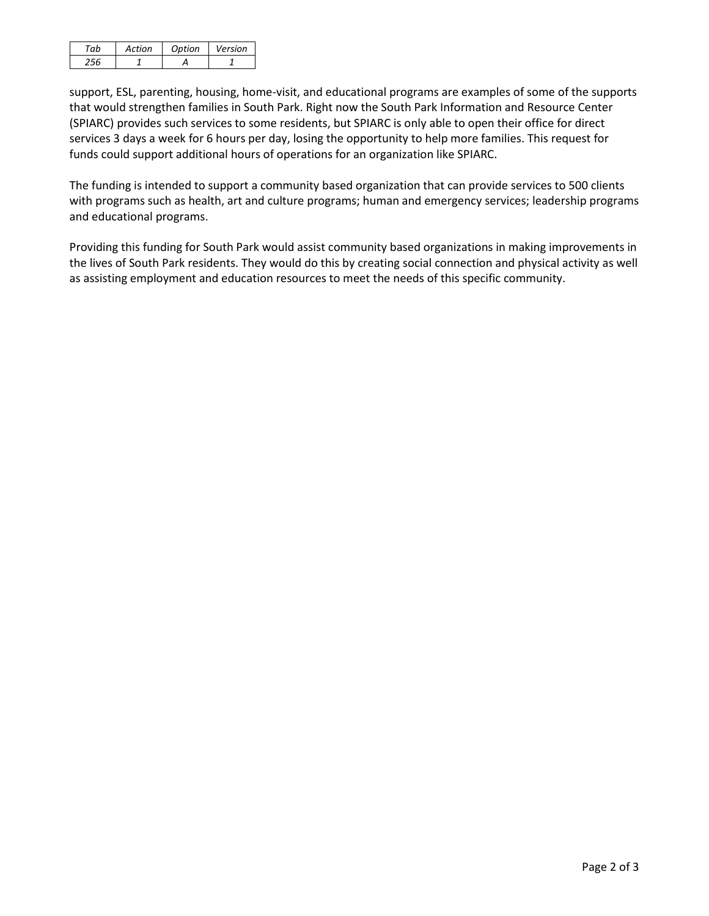| Artion | Ontion | Version |
|--------|--------|---------|
|        |        |         |

support, ESL, parenting, housing, home-visit, and educational programs are examples of some of the supports that would strengthen families in South Park. Right now the South Park Information and Resource Center (SPIARC) provides such services to some residents, but SPIARC is only able to open their office for direct services 3 days a week for 6 hours per day, losing the opportunity to help more families. This request for funds could support additional hours of operations for an organization like SPIARC.

The funding is intended to support a community based organization that can provide services to 500 clients with programs such as health, art and culture programs; human and emergency services; leadership programs and educational programs.

Providing this funding for South Park would assist community based organizations in making improvements in the lives of South Park residents. They would do this by creating social connection and physical activity as well as assisting employment and education resources to meet the needs of this specific community.